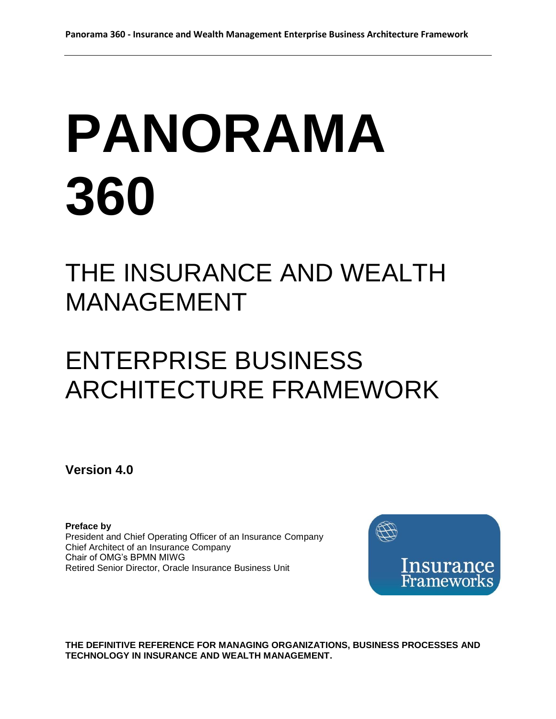# **PANORAMA 360**

# THE INSURANCE AND WEALTH MANAGEMENT

# ENTERPRISE BUSINESS ARCHITECTURE FRAMEWORK

**Version 4.0**

**Preface by** President and Chief Operating Officer of an Insurance Company Chief Architect of an Insurance Company Chair of OMG's BPMN MIWG Retired Senior Director, Oracle Insurance Business Unit



**THE DEFINITIVE REFERENCE FOR MANAGING ORGANIZATIONS, BUSINESS PROCESSES AND TECHNOLOGY IN INSURANCE AND WEALTH MANAGEMENT.**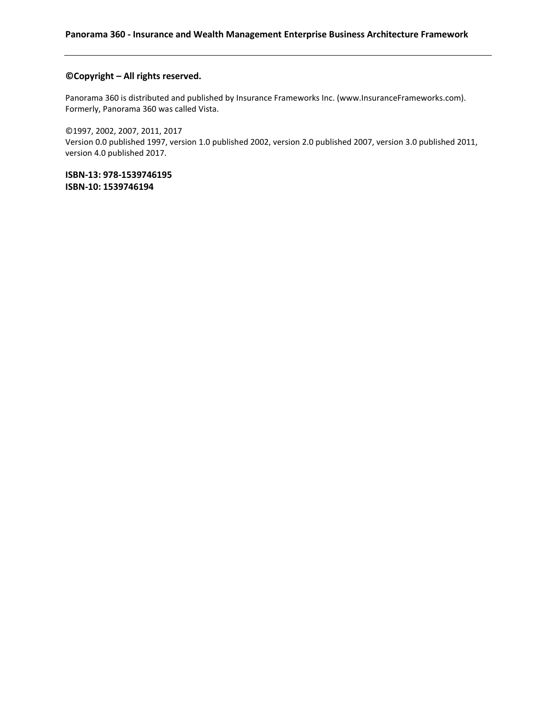#### **©Copyright – All rights reserved.**

Panorama 360 is distributed and published by Insurance Frameworks Inc. (www.InsuranceFrameworks.com). Formerly, Panorama 360 was called Vista.

©1997, 2002, 2007, 2011, 2017 Version 0.0 published 1997, version 1.0 published 2002, version 2.0 published 2007, version 3.0 published 2011, version 4.0 published 2017.

**ISBN-13: 978-1539746195 ISBN-10: 1539746194**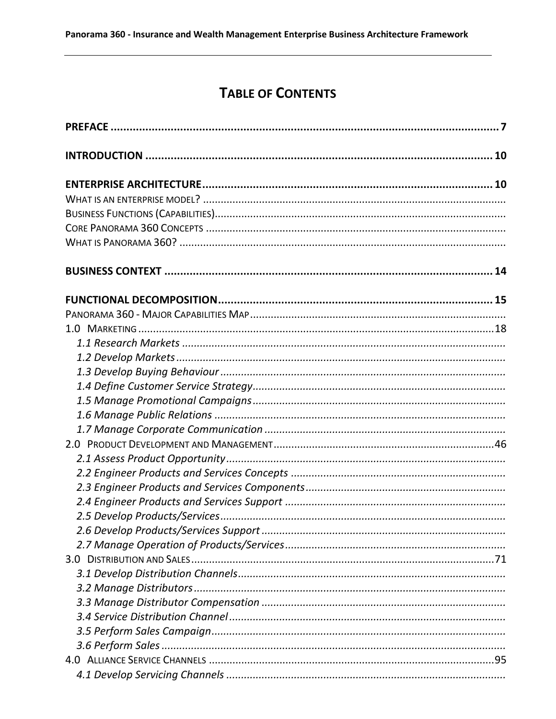# **TABLE OF CONTENTS**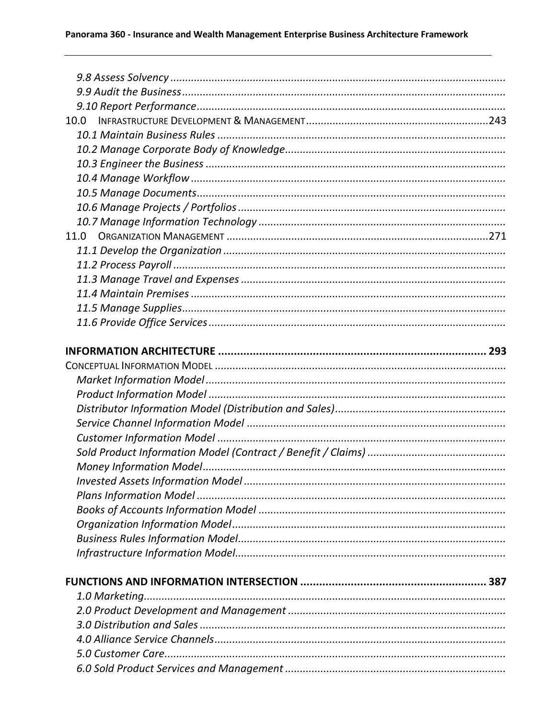| 10.0 |  |
|------|--|
|      |  |
|      |  |
|      |  |
|      |  |
|      |  |
|      |  |
|      |  |
| 11.0 |  |
|      |  |
|      |  |
|      |  |
|      |  |
|      |  |
|      |  |
|      |  |
|      |  |
|      |  |
|      |  |
|      |  |
|      |  |
|      |  |
|      |  |
|      |  |
|      |  |
|      |  |
|      |  |
|      |  |
|      |  |
|      |  |
|      |  |
|      |  |
|      |  |
|      |  |
|      |  |
|      |  |
|      |  |
|      |  |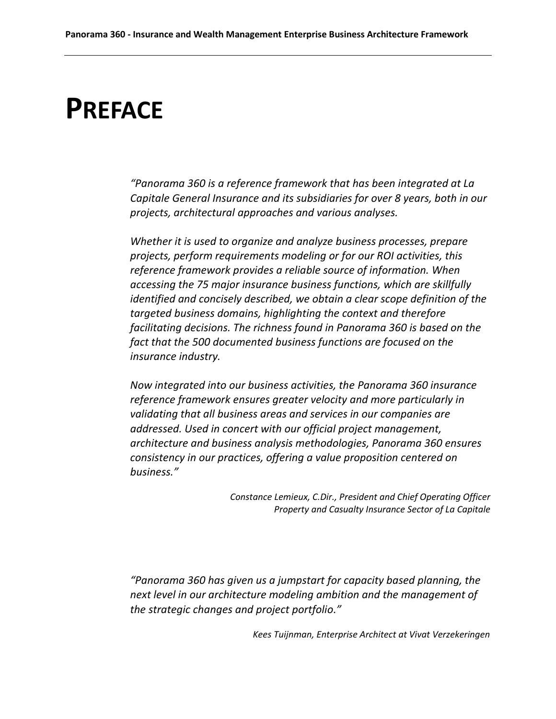# <span id="page-6-0"></span>**PREFACE**

*"Panorama 360 is a reference framework that has been integrated at La Capitale General Insurance and its subsidiaries for over 8 years, both in our projects, architectural approaches and various analyses.*

*Whether it is used to organize and analyze business processes, prepare projects, perform requirements modeling or for our ROI activities, this reference framework provides a reliable source of information. When accessing the 75 major insurance business functions, which are skillfully identified and concisely described, we obtain a clear scope definition of the targeted business domains, highlighting the context and therefore facilitating decisions. The richness found in Panorama 360 is based on the fact that the 500 documented business functions are focused on the insurance industry.*

*Now integrated into our business activities, the Panorama 360 insurance reference framework ensures greater velocity and more particularly in validating that all business areas and services in our companies are addressed. Used in concert with our official project management, architecture and business analysis methodologies, Panorama 360 ensures consistency in our practices, offering a value proposition centered on business."*

> *Constance Lemieux, C.Dir., President and Chief Operating Officer Property and Casualty Insurance Sector of La Capitale*

*"Panorama 360 has given us a jumpstart for capacity based planning, the next level in our architecture modeling ambition and the management of the strategic changes and project portfolio."*

*Kees Tuijnman, Enterprise Architect at Vivat Verzekeringen*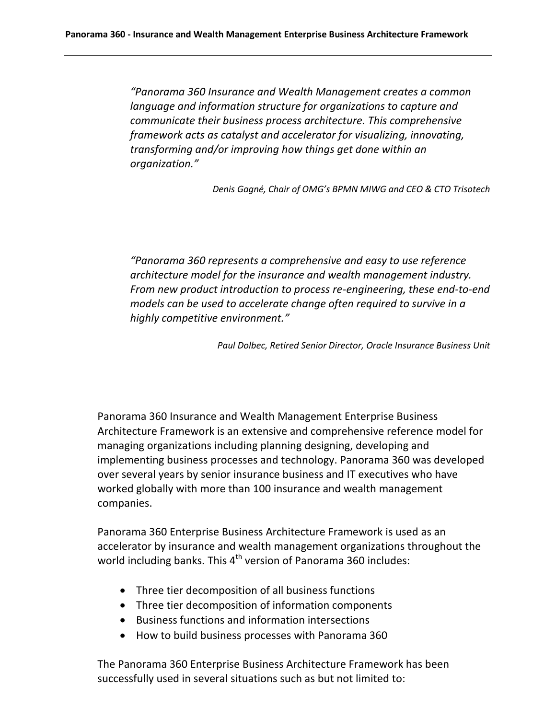*"Panorama 360 Insurance and Wealth Management creates a common language and information structure for organizations to capture and communicate their business process architecture. This comprehensive framework acts as catalyst and accelerator for visualizing, innovating, transforming and/or improving how things get done within an organization."*

*Denis Gagné, Chair of OMG's BPMN MIWG and CEO & CTO Trisotech*

*"Panorama 360 represents a comprehensive and easy to use reference architecture model for the insurance and wealth management industry. From new product introduction to process re-engineering, these end-to-end models can be used to accelerate change often required to survive in a highly competitive environment."*

*Paul Dolbec, Retired Senior Director, Oracle Insurance Business Unit*

Panorama 360 Insurance and Wealth Management Enterprise Business Architecture Framework is an extensive and comprehensive reference model for managing organizations including planning designing, developing and implementing business processes and technology. Panorama 360 was developed over several years by senior insurance business and IT executives who have worked globally with more than 100 insurance and wealth management companies.

Panorama 360 Enterprise Business Architecture Framework is used as an accelerator by insurance and wealth management organizations throughout the world including banks. This  $4<sup>th</sup>$  version of Panorama 360 includes:

- Three tier decomposition of all business functions
- Three tier decomposition of information components
- Business functions and information intersections
- How to build business processes with Panorama 360

The Panorama 360 Enterprise Business Architecture Framework has been successfully used in several situations such as but not limited to: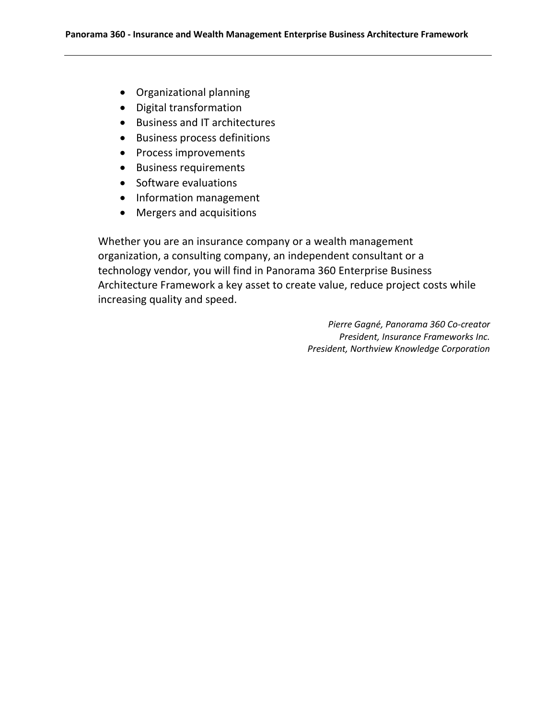- Organizational planning
- Digital transformation
- Business and IT architectures
- **•** Business process definitions
- Process improvements
- Business requirements
- Software evaluations
- Information management
- Mergers and acquisitions

Whether you are an insurance company or a wealth management organization, a consulting company, an independent consultant or a technology vendor, you will find in Panorama 360 Enterprise Business Architecture Framework a key asset to create value, reduce project costs while increasing quality and speed.

> *Pierre Gagné, Panorama 360 Co-creator President, Insurance Frameworks Inc. President, Northview Knowledge Corporation*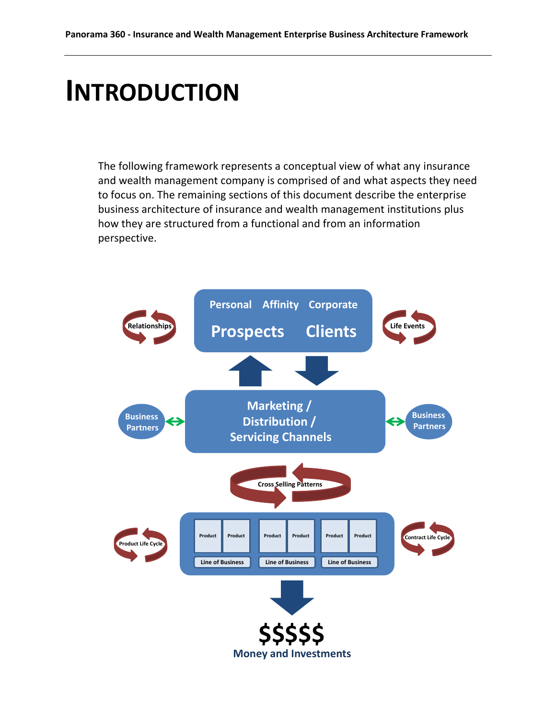# <span id="page-9-0"></span>**INTRODUCTION**

The following framework represents a conceptual view of what any insurance and wealth management company is comprised of and what aspects they need to focus on. The remaining sections of this document describe the enterprise business architecture of insurance and wealth management institutions plus how they are structured from a functional and from an information perspective.

<span id="page-9-1"></span>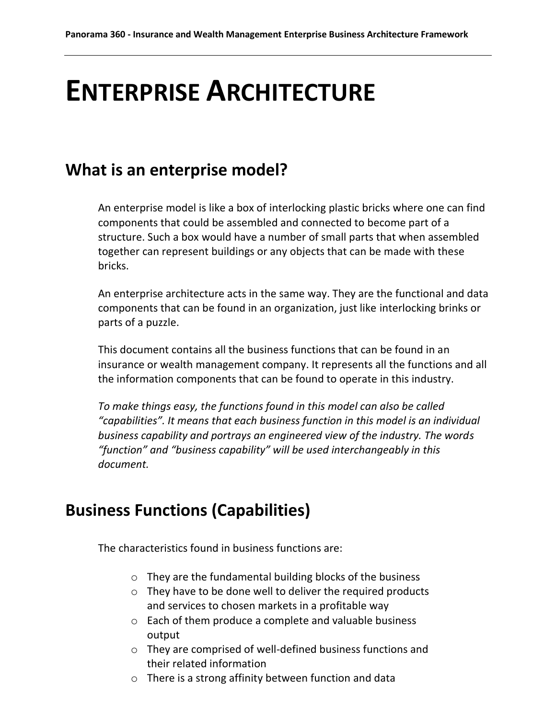# **ENTERPRISE ARCHITECTURE**

# <span id="page-10-0"></span>**What is an enterprise model?**

An enterprise model is like a box of interlocking plastic bricks where one can find components that could be assembled and connected to become part of a structure. Such a box would have a number of small parts that when assembled together can represent buildings or any objects that can be made with these bricks.

An enterprise architecture acts in the same way. They are the functional and data components that can be found in an organization, just like interlocking brinks or parts of a puzzle.

This document contains all the business functions that can be found in an insurance or wealth management company. It represents all the functions and all the information components that can be found to operate in this industry.

*To make things easy, the functions found in this model can also be called "capabilities". It means that each business function in this model is an individual business capability and portrays an engineered view of the industry. The words "function" and "business capability" will be used interchangeably in this document.*

# <span id="page-10-1"></span>**Business Functions (Capabilities)**

The characteristics found in business functions are:

- o They are the fundamental building blocks of the business
- o They have to be done well to deliver the required products and services to chosen markets in a profitable way
- o Each of them produce a complete and valuable business output
- o They are comprised of well-defined business functions and their related information
- o There is a strong affinity between function and data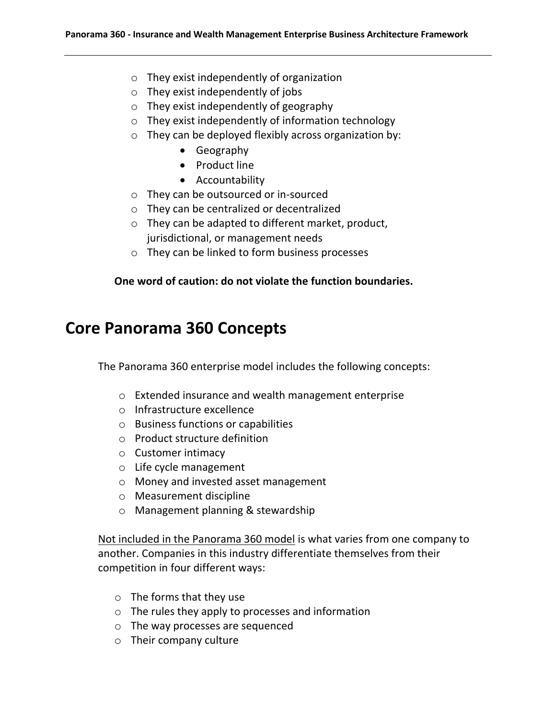- o They exist independently of organization
- o They exist independently of jobs
- o They exist independently of geography
- o They exist independently of information technology
- o They can be deployed flexibly across organization by:
	- Geography
	- Product line
	- Accountability
- o They can be outsourced or in-sourced
- o They can be centralized or decentralized
- o They can be adapted to different market, product, jurisdictional, or management needs
- o They can be linked to form business processes

#### **One word of caution: do not violate the function boundaries.**

# <span id="page-11-0"></span>**Core Panorama 360 Concepts**

The Panorama 360 enterprise model includes the following concepts:

- o Extended insurance and wealth management enterprise
- o Infrastructure excellence
- o Business functions or capabilities
- o Product structure definition
- o Customer intimacy
- o Life cycle management
- o Money and invested asset management
- o Measurement discipline
- o Management planning & stewardship

Not included in the Panorama 360 model is what varies from one company to another. Companies in this industry differentiate themselves from their competition in four different ways:

- o The forms that they use
- o The rules they apply to processes and information
- o The way processes are sequenced
- o Their company culture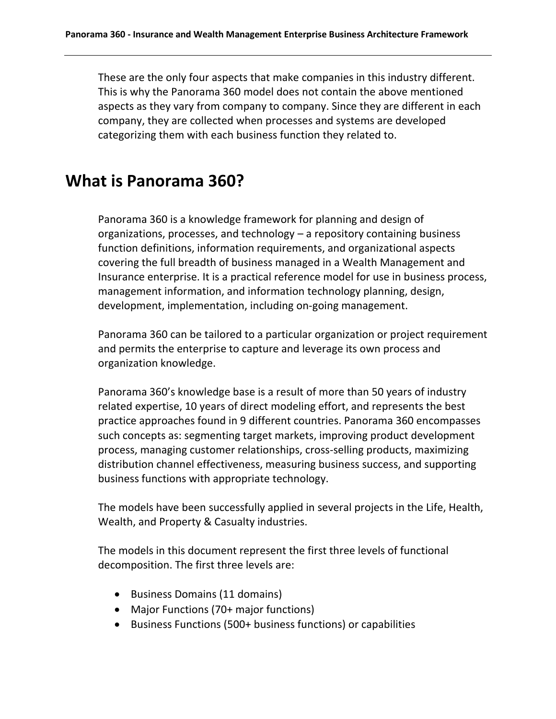These are the only four aspects that make companies in this industry different. This is why the Panorama 360 model does not contain the above mentioned aspects as they vary from company to company. Since they are different in each company, they are collected when processes and systems are developed categorizing them with each business function they related to.

# <span id="page-12-0"></span>**What is Panorama 360?**

Panorama 360 is a knowledge framework for planning and design of organizations, processes, and technology – a repository containing business function definitions, information requirements, and organizational aspects covering the full breadth of business managed in a Wealth Management and Insurance enterprise. It is a practical reference model for use in business process, management information, and information technology planning, design, development, implementation, including on-going management.

Panorama 360 can be tailored to a particular organization or project requirement and permits the enterprise to capture and leverage its own process and organization knowledge.

Panorama 360's knowledge base is a result of more than 50 years of industry related expertise, 10 years of direct modeling effort, and represents the best practice approaches found in 9 different countries. Panorama 360 encompasses such concepts as: segmenting target markets, improving product development process, managing customer relationships, cross-selling products, maximizing distribution channel effectiveness, measuring business success, and supporting business functions with appropriate technology.

The models have been successfully applied in several projects in the Life, Health, Wealth, and Property & Casualty industries.

The models in this document represent the first three levels of functional decomposition. The first three levels are:

- Business Domains (11 domains)
- Major Functions (70+ major functions)
- Business Functions (500+ business functions) or capabilities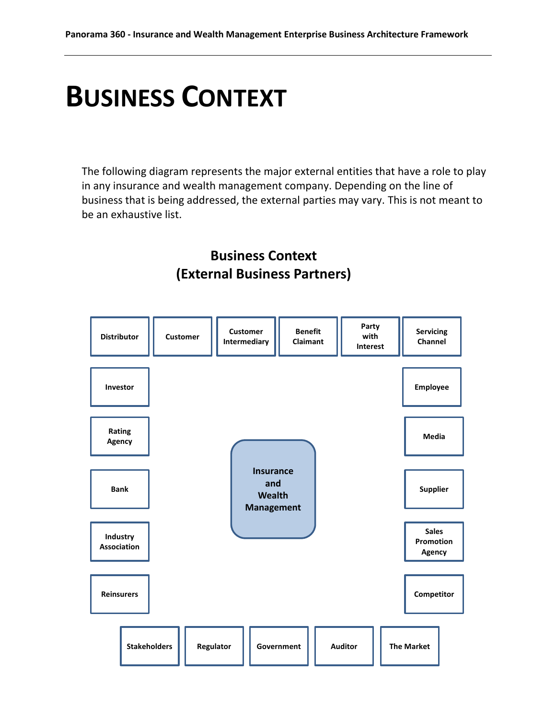# <span id="page-13-0"></span>**BUSINESS CONTEXT**

The following diagram represents the major external entities that have a role to play in any insurance and wealth management company. Depending on the line of business that is being addressed, the external parties may vary. This is not meant to be an exhaustive list.

### **Business Context (External Business Partners)**

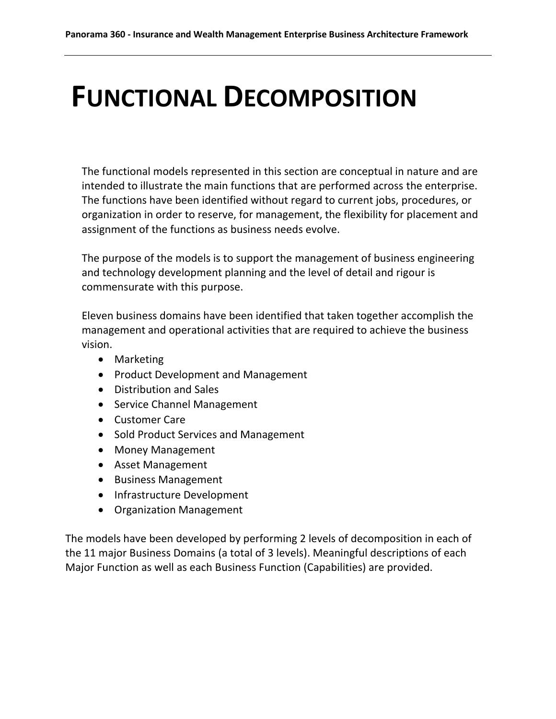# <span id="page-14-0"></span>**FUNCTIONAL DECOMPOSITION**

The functional models represented in this section are conceptual in nature and are intended to illustrate the main functions that are performed across the enterprise. The functions have been identified without regard to current jobs, procedures, or organization in order to reserve, for management, the flexibility for placement and assignment of the functions as business needs evolve.

The purpose of the models is to support the management of business engineering and technology development planning and the level of detail and rigour is commensurate with this purpose.

Eleven business domains have been identified that taken together accomplish the management and operational activities that are required to achieve the business vision.

- Marketing
- Product Development and Management
- Distribution and Sales
- Service Channel Management
- Customer Care
- Sold Product Services and Management
- Money Management
- Asset Management
- Business Management
- Infrastructure Development
- Organization Management

The models have been developed by performing 2 levels of decomposition in each of the 11 major Business Domains (a total of 3 levels). Meaningful descriptions of each Major Function as well as each Business Function (Capabilities) are provided.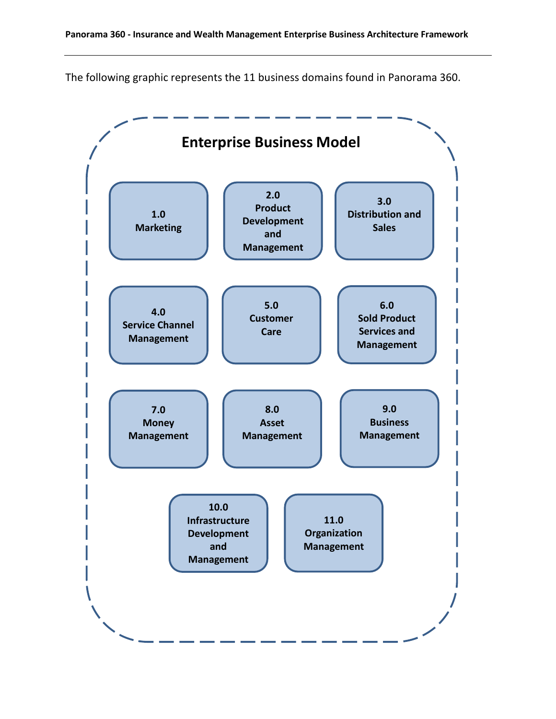The following graphic represents the 11 business domains found in Panorama 360.

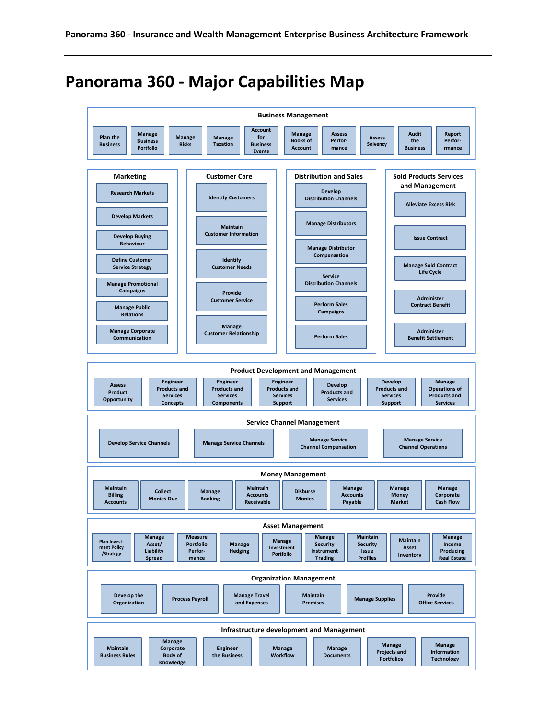# <span id="page-16-0"></span>**Panorama 360 - Major Capabilities Map**

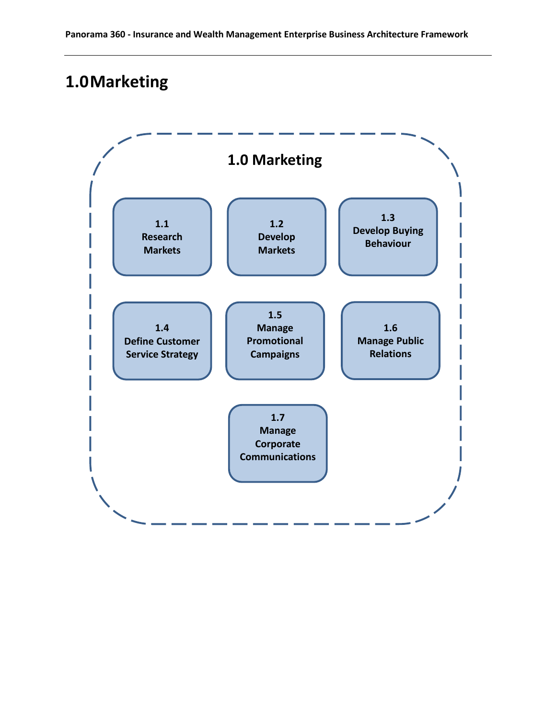# <span id="page-17-0"></span>**1.0Marketing**

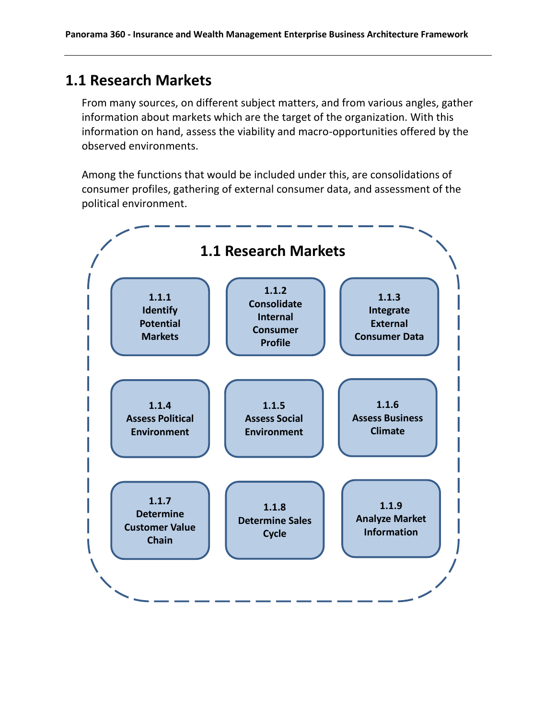### <span id="page-18-0"></span>**1.1 Research Markets**

From many sources, on different subject matters, and from various angles, gather information about markets which are the target of the organization. With this information on hand, assess the viability and macro-opportunities offered by the observed environments.

Among the functions that would be included under this, are consolidations of consumer profiles, gathering of external consumer data, and assessment of the political environment.

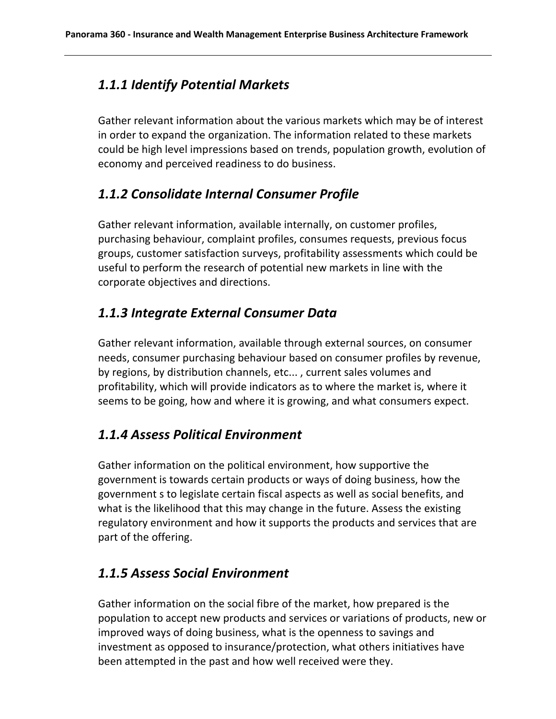### *1.1.1 Identify Potential Markets*

Gather relevant information about the various markets which may be of interest in order to expand the organization. The information related to these markets could be high level impressions based on trends, population growth, evolution of economy and perceived readiness to do business.

### *1.1.2 Consolidate Internal Consumer Profile*

Gather relevant information, available internally, on customer profiles, purchasing behaviour, complaint profiles, consumes requests, previous focus groups, customer satisfaction surveys, profitability assessments which could be useful to perform the research of potential new markets in line with the corporate objectives and directions.

### *1.1.3 Integrate External Consumer Data*

Gather relevant information, available through external sources, on consumer needs, consumer purchasing behaviour based on consumer profiles by revenue, by regions, by distribution channels, etc... , current sales volumes and profitability, which will provide indicators as to where the market is, where it seems to be going, how and where it is growing, and what consumers expect.

### *1.1.4 Assess Political Environment*

Gather information on the political environment, how supportive the government is towards certain products or ways of doing business, how the government s to legislate certain fiscal aspects as well as social benefits, and what is the likelihood that this may change in the future. Assess the existing regulatory environment and how it supports the products and services that are part of the offering.

### *1.1.5 Assess Social Environment*

Gather information on the social fibre of the market, how prepared is the population to accept new products and services or variations of products, new or improved ways of doing business, what is the openness to savings and investment as opposed to insurance/protection, what others initiatives have been attempted in the past and how well received were they.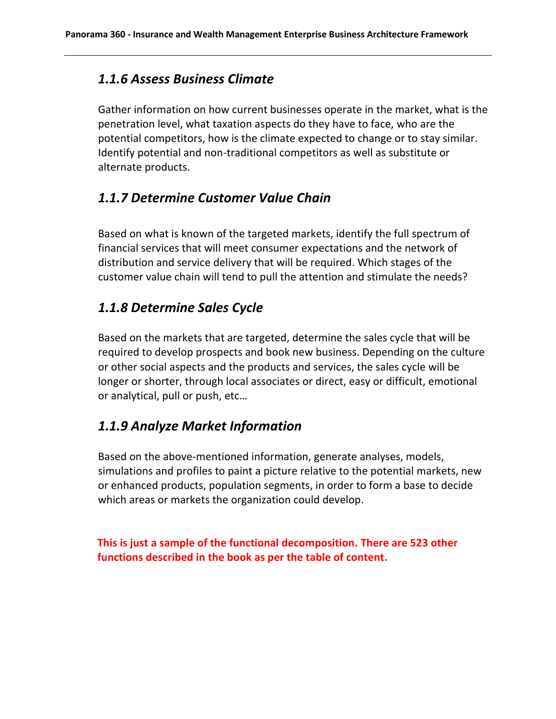#### *1.1.6 Assess Business Climate*

Gather information on how current businesses operate in the market, what is the penetration level, what taxation aspects do they have to face, who are the potential competitors, how is the climate expected to change or to stay similar. Identify potential and non-traditional competitors as well as substitute or alternate products.

#### *1.1.7 Determine Customer Value Chain*

Based on what is known of the targeted markets, identify the full spectrum of financial services that will meet consumer expectations and the network of distribution and service delivery that will be required. Which stages of the customer value chain will tend to pull the attention and stimulate the needs?

#### *1.1.8 Determine Sales Cycle*

Based on the markets that are targeted, determine the sales cycle that will be required to develop prospects and book new business. Depending on the culture or other social aspects and the products and services, the sales cycle will be longer or shorter, through local associates or direct, easy or difficult, emotional or analytical, pull or push, etc…

#### *1.1.9 Analyze Market Information*

Based on the above-mentioned information, generate analyses, models, simulations and profiles to paint a picture relative to the potential markets, new or enhanced products, population segments, in order to form a base to decide which areas or markets the organization could develop.

**This is just a sample of the functional decomposition. There are 523 other functions described in the book as per the table of content.**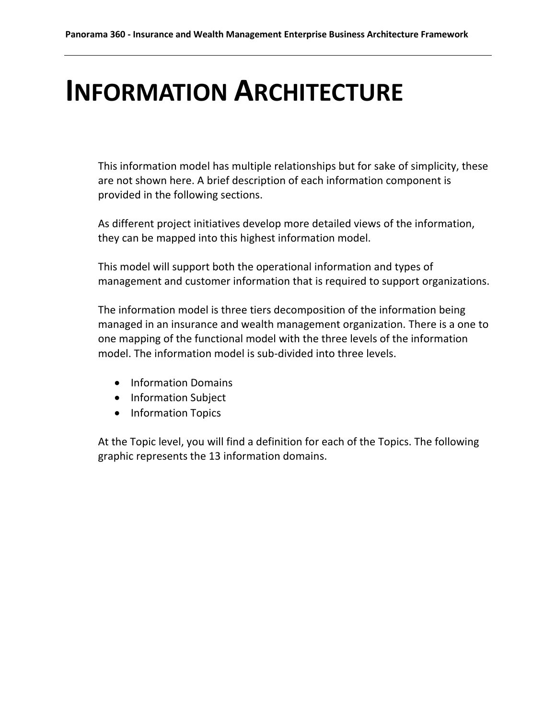# <span id="page-21-0"></span>**INFORMATION ARCHITECTURE**

This information model has multiple relationships but for sake of simplicity, these are not shown here. A brief description of each information component is provided in the following sections.

As different project initiatives develop more detailed views of the information, they can be mapped into this highest information model.

This model will support both the operational information and types of management and customer information that is required to support organizations.

The information model is three tiers decomposition of the information being managed in an insurance and wealth management organization. There is a one to one mapping of the functional model with the three levels of the information model. The information model is sub-divided into three levels.

- Information Domains
- Information Subject
- Information Topics

At the Topic level, you will find a definition for each of the Topics. The following graphic represents the 13 information domains.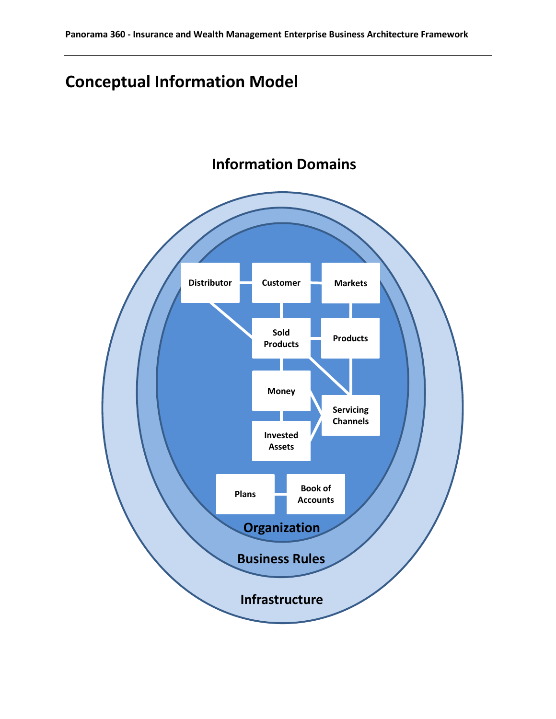# <span id="page-22-0"></span>**Conceptual Information Model**



# **Information Domains**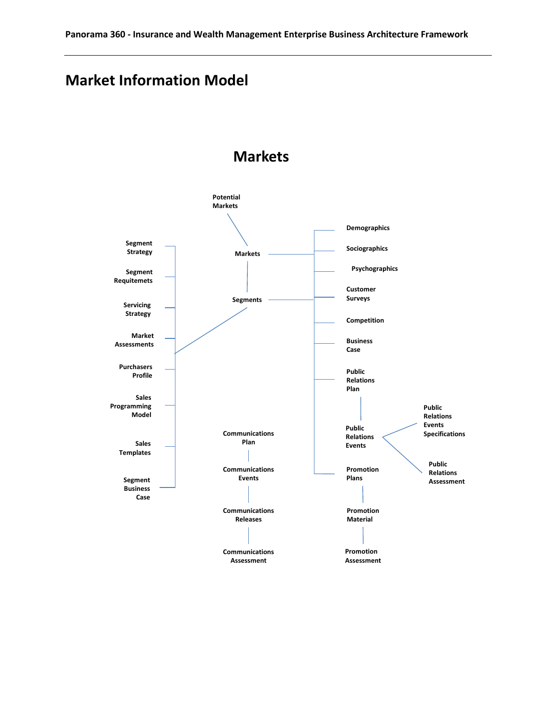# **Market Information Model**



#### **Markets**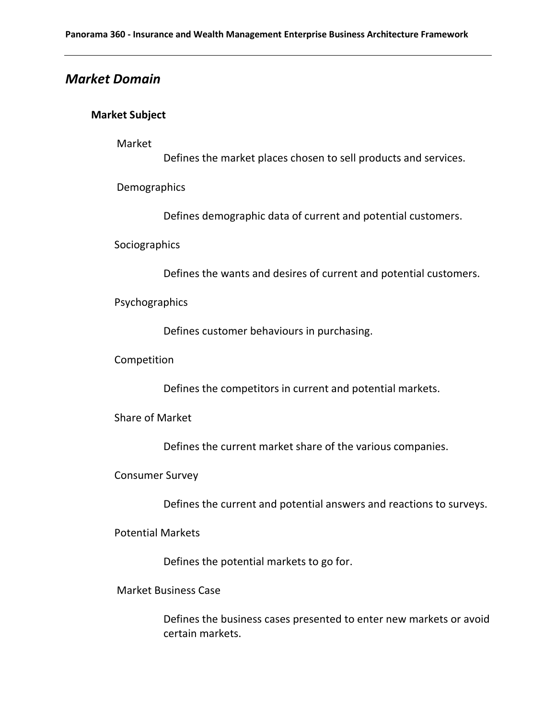#### *Market Domain*

#### **Market Subject**

Market

Defines the market places chosen to sell products and services.

Demographics

Defines demographic data of current and potential customers.

Sociographics

Defines the wants and desires of current and potential customers.

Psychographics

Defines customer behaviours in purchasing.

Competition

Defines the competitors in current and potential markets.

Share of Market

Defines the current market share of the various companies.

Consumer Survey

Defines the current and potential answers and reactions to surveys.

Potential Markets

Defines the potential markets to go for.

Market Business Case

Defines the business cases presented to enter new markets or avoid certain markets.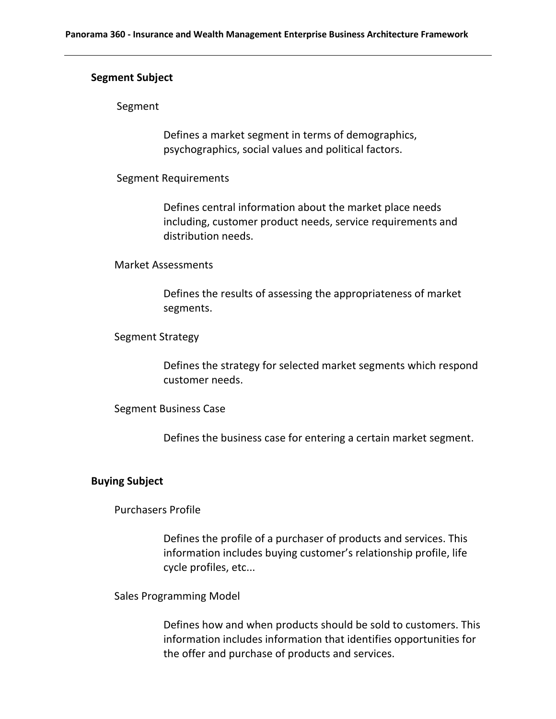#### **Segment Subject**

#### Segment

Defines a market segment in terms of demographics, psychographics, social values and political factors.

#### Segment Requirements

Defines central information about the market place needs including, customer product needs, service requirements and distribution needs.

#### Market Assessments

Defines the results of assessing the appropriateness of market segments.

#### Segment Strategy

Defines the strategy for selected market segments which respond customer needs.

#### Segment Business Case

Defines the business case for entering a certain market segment.

#### **Buying Subject**

Purchasers Profile

Defines the profile of a purchaser of products and services. This information includes buying customer's relationship profile, life cycle profiles, etc...

Sales Programming Model

Defines how and when products should be sold to customers. This information includes information that identifies opportunities for the offer and purchase of products and services.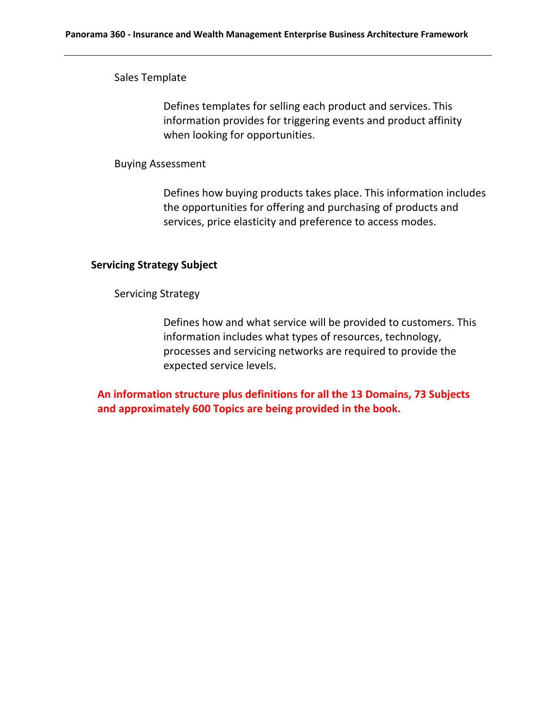Sales Template

Defines templates for selling each product and services. This information provides for triggering events and product affinity when looking for opportunities.

#### Buying Assessment

Defines how buying products takes place. This information includes the opportunities for offering and purchasing of products and services, price elasticity and preference to access modes.

#### **Servicing Strategy Subject**

Servicing Strategy

Defines how and what service will be provided to customers. This information includes what types of resources, technology, processes and servicing networks are required to provide the expected service levels.

**An information structure plus definitions for all the 13 Domains, 73 Subjects and approximately 600 Topics are being provided in the book.**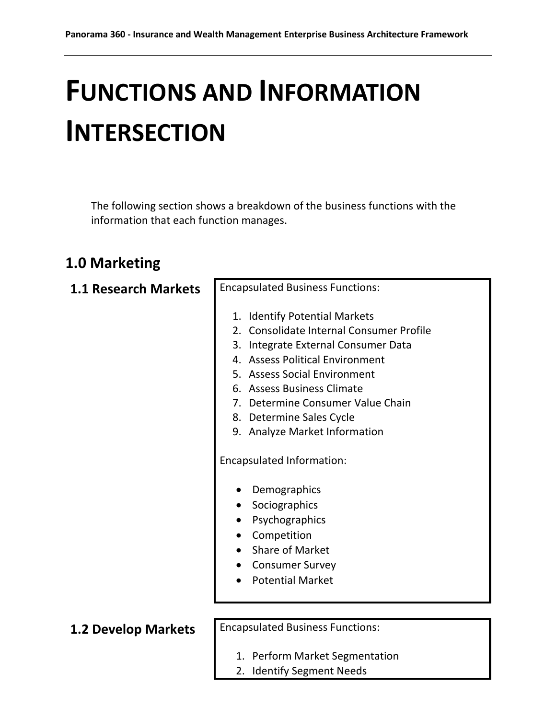# <span id="page-27-0"></span>**FUNCTIONS AND INFORMATION INTERSECTION**

The following section shows a breakdown of the business functions with the information that each function manages.

### <span id="page-27-1"></span>**1.0 Marketing**

| <b>1.1 Research Markets</b> | <b>Encapsulated Business Functions:</b>                                                                                                                                                                                                                                                                             |
|-----------------------------|---------------------------------------------------------------------------------------------------------------------------------------------------------------------------------------------------------------------------------------------------------------------------------------------------------------------|
|                             | 1. Identify Potential Markets<br>2. Consolidate Internal Consumer Profile<br>3. Integrate External Consumer Data<br>4. Assess Political Environment<br>5. Assess Social Environment<br>6. Assess Business Climate<br>7. Determine Consumer Value Chain<br>8. Determine Sales Cycle<br>9. Analyze Market Information |
|                             | Encapsulated Information:                                                                                                                                                                                                                                                                                           |
|                             | Demographics<br>Sociographics<br>Psychographics<br>Competition<br><b>Share of Market</b><br><b>Consumer Survey</b><br><b>Potential Market</b>                                                                                                                                                                       |
| <b>1.2 Develop Markets</b>  | <b>Encapsulated Business Functions:</b>                                                                                                                                                                                                                                                                             |
|                             | 1. Perform Market Segmentation                                                                                                                                                                                                                                                                                      |

2. Identify Segment Needs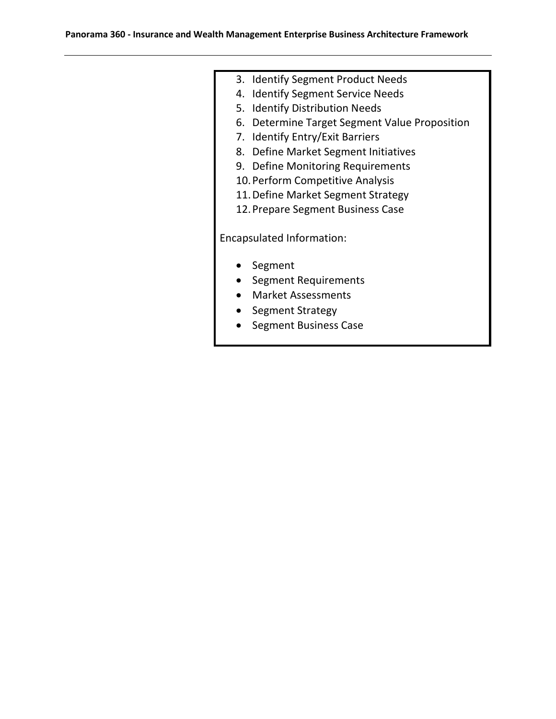- 3. Identify Segment Product Needs
- 4. Identify Segment Service Needs
- 5. Identify Distribution Needs
- 6. Determine Target Segment Value Proposition
- 7. Identify Entry/Exit Barriers
- 8. Define Market Segment Initiatives
- 9. Define Monitoring Requirements
- 10.Perform Competitive Analysis
- 11.Define Market Segment Strategy
- 12.Prepare Segment Business Case

Encapsulated Information:

- Segment
- Segment Requirements
- Market Assessments
- Segment Strategy
- Segment Business Case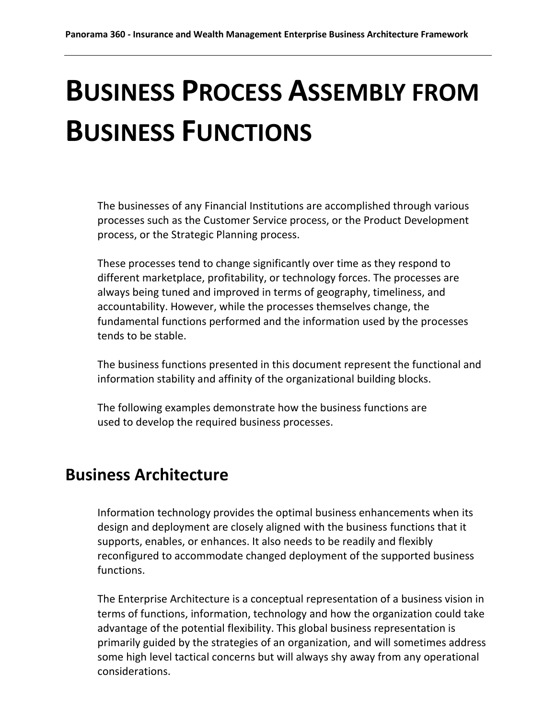# <span id="page-29-0"></span>**BUSINESS PROCESS ASSEMBLY FROM BUSINESS FUNCTIONS**

The businesses of any Financial Institutions are accomplished through various processes such as the Customer Service process, or the Product Development process, or the Strategic Planning process.

These processes tend to change significantly over time as they respond to different marketplace, profitability, or technology forces. The processes are always being tuned and improved in terms of geography, timeliness, and accountability. However, while the processes themselves change, the fundamental functions performed and the information used by the processes tends to be stable.

The business functions presented in this document represent the functional and information stability and affinity of the organizational building blocks.

The following examples demonstrate how the business functions are used to develop the required business processes.

# <span id="page-29-1"></span>**Business Architecture**

Information technology provides the optimal business enhancements when its design and deployment are closely aligned with the business functions that it supports, enables, or enhances. It also needs to be readily and flexibly reconfigured to accommodate changed deployment of the supported business functions.

The Enterprise Architecture is a conceptual representation of a business vision in terms of functions, information, technology and how the organization could take advantage of the potential flexibility. This global business representation is primarily guided by the strategies of an organization, and will sometimes address some high level tactical concerns but will always shy away from any operational considerations.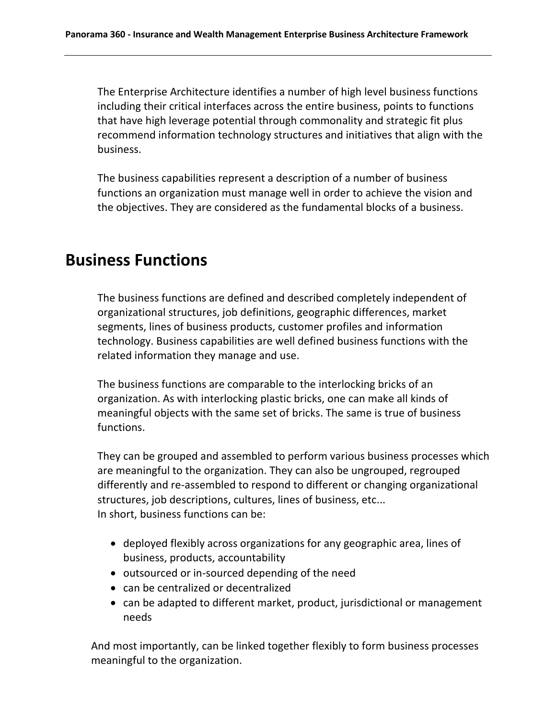The Enterprise Architecture identifies a number of high level business functions including their critical interfaces across the entire business, points to functions that have high leverage potential through commonality and strategic fit plus recommend information technology structures and initiatives that align with the business.

The business capabilities represent a description of a number of business functions an organization must manage well in order to achieve the vision and the objectives. They are considered as the fundamental blocks of a business.

### <span id="page-30-0"></span>**Business Functions**

The business functions are defined and described completely independent of organizational structures, job definitions, geographic differences, market segments, lines of business products, customer profiles and information technology. Business capabilities are well defined business functions with the related information they manage and use.

The business functions are comparable to the interlocking bricks of an organization. As with interlocking plastic bricks, one can make all kinds of meaningful objects with the same set of bricks. The same is true of business functions.

They can be grouped and assembled to perform various business processes which are meaningful to the organization. They can also be ungrouped, regrouped differently and re-assembled to respond to different or changing organizational structures, job descriptions, cultures, lines of business, etc... In short, business functions can be:

- deployed flexibly across organizations for any geographic area, lines of business, products, accountability
- outsourced or in-sourced depending of the need
- can be centralized or decentralized
- can be adapted to different market, product, jurisdictional or management needs

And most importantly, can be linked together flexibly to form business processes meaningful to the organization.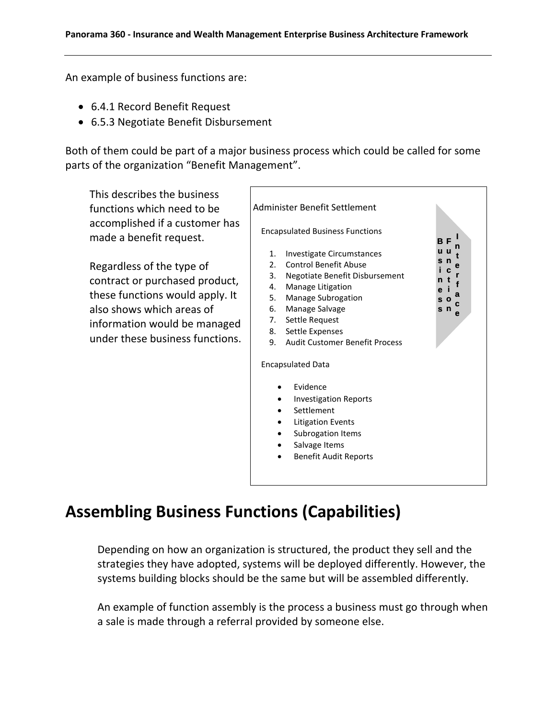An example of business functions are:

- 6.4.1 Record Benefit Request
- 6.5.3 Negotiate Benefit Disbursement

Both of them could be part of a major business process which could be called for some parts of the organization "Benefit Management".

This describes the business functions which need to be accomplished if a customer has made a benefit request. Regardless of the type of contract or purchased product, these functions would apply. It also shows which areas of information would be managed under these business functions. Administer Benefit Settlement Encapsulated Business Functions 1. Investigate Circumstances 2. Control Benefit Abuse 3. Negotiate Benefit Disbursement 4. Manage Litigation 5. Manage Subrogation 6. Manage Salvage 7. Settle Request 8. Settle Expenses 9. Audit Customer Benefit Process Encapsulated Data Evidence • Investigation Reports • Settlement Litigation Events Subrogation Items Salvage Items Benefit Audit Reports **B u s i n e i s o s n e F u n c t I n t e r f a c**

# <span id="page-31-0"></span>**Assembling Business Functions (Capabilities)**

Depending on how an organization is structured, the product they sell and the strategies they have adopted, systems will be deployed differently. However, the systems building blocks should be the same but will be assembled differently.

An example of function assembly is the process a business must go through when a sale is made through a referral provided by someone else.